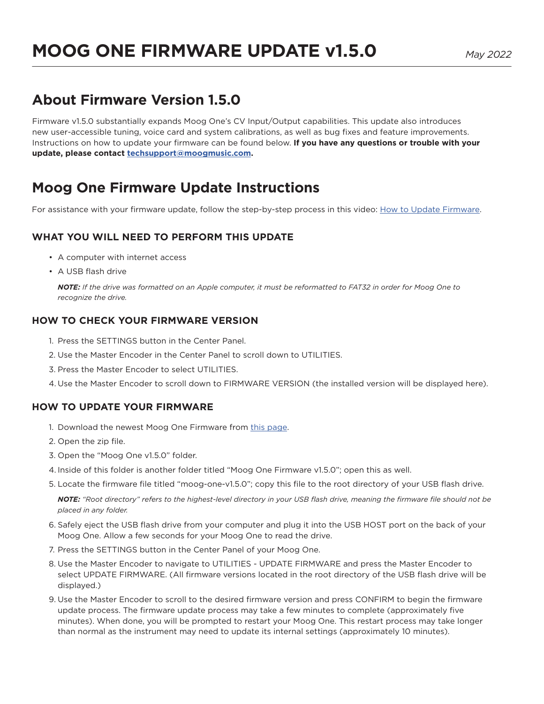# **About Firmware Version 1.5.0**

Firmware v1.5.0 substantially expands Moog One's CV Input/Output capabilities. This update also introduces new user-accessible tuning, voice card and system calibrations, as well as bug fixes and feature improvements. Instructions on how to update your firmware can be found below. **If you have any questions or trouble with your update, please contact [techsupport@moogmusic.com.](mailto:techsupport%40moogmusic.com?subject=)**

# **Moog One Firmware Update Instructions**

For assistance with your firmware update, follow the step-by-step process in this video: [How to Update Firmware](https://www.youtube.com/watch?v=s0oJAe3i95U).

## **WHAT YOU WILL NEED TO PERFORM THIS UPDATE**

- A computer with internet access
- A USB flash drive

*NOTE: If the drive was formatted on an Apple computer, it must be reformatted to FAT32 in order for Moog One to recognize the drive.*

## **HOW TO CHECK YOUR FIRMWARE VERSION**

- 1. Press the SETTINGS button in the Center Panel.
- 2. Use the Master Encoder in the Center Panel to scroll down to UTILITIES.
- 3. Press the Master Encoder to select UTILITIES.
- 4. Use the Master Encoder to scroll down to FIRMWARE VERSION (the installed version will be displayed here).

## **HOW TO UPDATE YOUR FIRMWARE**

- 1. Download the newest Moog One Firmware from [this page](https://www.moogmusic.com/products/moog-one).
- 2. Open the zip file.
- 3. Open the "Moog One v1.5.0" folder.
- 4. Inside of this folder is another folder titled "Moog One Firmware v1.5.0"; open this as well.
- 5. Locate the firmware file titled "moog-one-v1.5.0"; copy this file to the root directory of your USB flash drive.

*NOTE: "Root directory" refers to the highest-level directory in your USB flash drive, meaning the firmware file should not be placed in any folder.*

- 6. Safely eject the USB flash drive from your computer and plug it into the USB HOST port on the back of your Moog One. Allow a few seconds for your Moog One to read the drive.
- 7. Press the SETTINGS button in the Center Panel of your Moog One.
- 8. Use the Master Encoder to navigate to UTILITIES UPDATE FIRMWARE and press the Master Encoder to select UPDATE FIRMWARE. (All firmware versions located in the root directory of the USB flash drive will be displayed.)
- 9. Use the Master Encoder to scroll to the desired firmware version and press CONFIRM to begin the firmware update process. The firmware update process may take a few minutes to complete (approximately five minutes). When done, you will be prompted to restart your Moog One. This restart process may take longer than normal as the instrument may need to update its internal settings (approximately 10 minutes).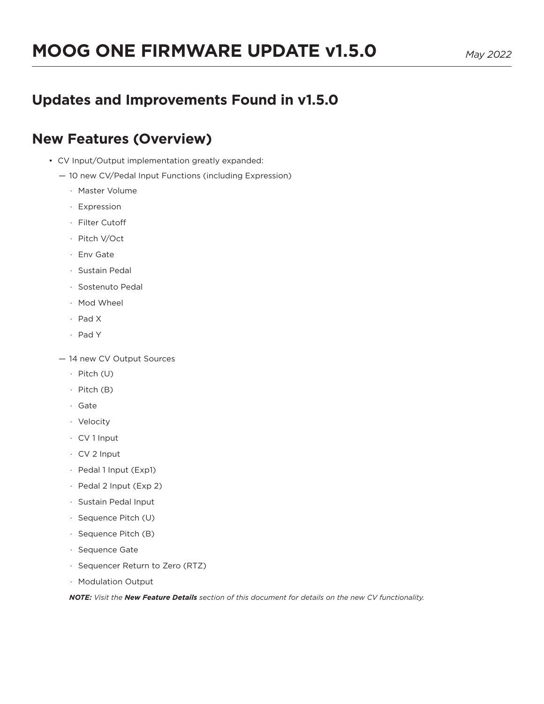## **Updates and Improvements Found in v1.5.0**

## **New Features (Overview)**

- CV Input/Output implementation greatly expanded:
	- 10 new CV/Pedal Input Functions (including Expression)
		- · Master Volume
		- · Expression
		- · Filter Cutoff
		- · Pitch V/Oct
		- · Env Gate
		- · Sustain Pedal
		- · Sostenuto Pedal
		- · Mod Wheel
		- · Pad X
		- · Pad Y
	- 14 new CV Output Sources
		- · Pitch (U)
		- · Pitch (B)
		- · Gate
		- · Velocity
		- · CV 1 Input
		- · CV 2 Input
		- · Pedal 1 Input (Exp1)
		- · Pedal 2 Input (Exp 2)
		- · Sustain Pedal Input
		- · Sequence Pitch (U)
		- · Sequence Pitch (B)
		- · Sequence Gate
		- · Sequencer Return to Zero (RTZ)
		- · Modulation Output

*NOTE: Visit the New Feature Details section of this document for details on the new CV functionality.*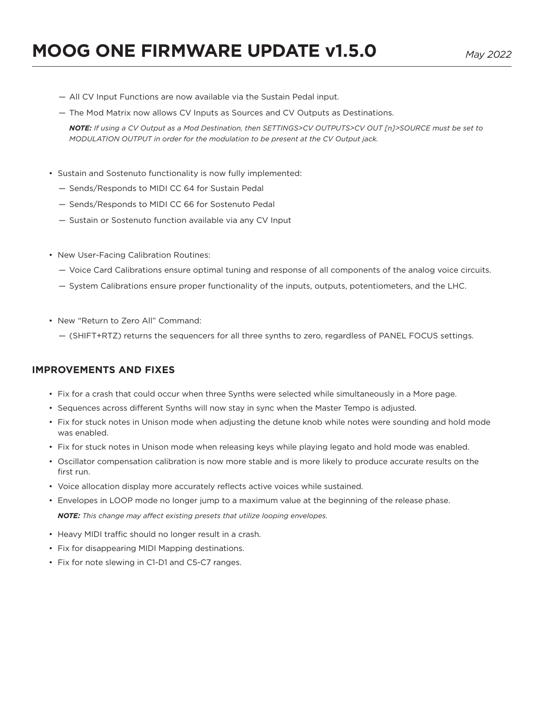- All CV Input Functions are now available via the Sustain Pedal input.
- The Mod Matrix now allows CV Inputs as Sources and CV Outputs as Destinations.

*NOTE: If using a CV Output as a Mod Destination, then SETTINGS>CV OUTPUTS>CV OUT [n]>SOURCE must be set to MODULATION OUTPUT in order for the modulation to be present at the CV Output jack.*

- Sustain and Sostenuto functionality is now fully implemented:
	- Sends/Responds to MIDI CC 64 for Sustain Pedal
	- Sends/Responds to MIDI CC 66 for Sostenuto Pedal
	- Sustain or Sostenuto function available via any CV Input
- New User-Facing Calibration Routines:
	- Voice Card Calibrations ensure optimal tuning and response of all components of the analog voice circuits.
	- System Calibrations ensure proper functionality of the inputs, outputs, potentiometers, and the LHC.
- New "Return to Zero All" Command:
	- (SHIFT+RTZ) returns the sequencers for all three synths to zero, regardless of PANEL FOCUS settings.

#### **IMPROVEMENTS AND FIXES**

- Fix for a crash that could occur when three Synths were selected while simultaneously in a More page.
- Sequences across different Synths will now stay in sync when the Master Tempo is adjusted.
- Fix for stuck notes in Unison mode when adjusting the detune knob while notes were sounding and hold mode was enabled.
- Fix for stuck notes in Unison mode when releasing keys while playing legato and hold mode was enabled.
- Oscillator compensation calibration is now more stable and is more likely to produce accurate results on the first run.
- Voice allocation display more accurately reflects active voices while sustained.
- Envelopes in LOOP mode no longer jump to a maximum value at the beginning of the release phase. *NOTE: This change may affect existing presets that utilize looping envelopes.*
- Heavy MIDI traffic should no longer result in a crash.
- Fix for disappearing MIDI Mapping destinations.
- Fix for note slewing in C1-D1 and C5-C7 ranges.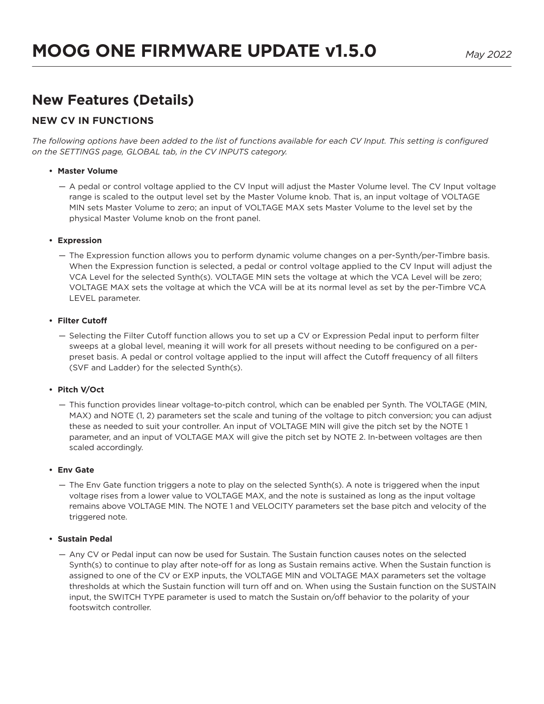# **New Features (Details)**

### **NEW CV IN FUNCTIONS**

The following options have been added to the list of functions available for each CV Input. This setting is configured *on the SETTINGS page, GLOBAL tab, in the CV INPUTS category.*

#### **• Master Volume**

— A pedal or control voltage applied to the CV Input will adjust the Master Volume level. The CV Input voltage range is scaled to the output level set by the Master Volume knob. That is, an input voltage of VOLTAGE MIN sets Master Volume to zero; an input of VOLTAGE MAX sets Master Volume to the level set by the physical Master Volume knob on the front panel.

#### **• Expression**

— The Expression function allows you to perform dynamic volume changes on a per-Synth/per-Timbre basis. When the Expression function is selected, a pedal or control voltage applied to the CV Input will adjust the VCA Level for the selected Synth(s). VOLTAGE MIN sets the voltage at which the VCA Level will be zero; VOLTAGE MAX sets the voltage at which the VCA will be at its normal level as set by the per-Timbre VCA LEVEL parameter.

#### **• Filter Cutoff**

— Selecting the Filter Cutoff function allows you to set up a CV or Expression Pedal input to perform filter sweeps at a global level, meaning it will work for all presets without needing to be configured on a perpreset basis. A pedal or control voltage applied to the input will affect the Cutoff frequency of all filters (SVF and Ladder) for the selected Synth(s).

#### **• Pitch V/Oct**

— This function provides linear voltage-to-pitch control, which can be enabled per Synth. The VOLTAGE (MIN, MAX) and NOTE (1, 2) parameters set the scale and tuning of the voltage to pitch conversion; you can adjust these as needed to suit your controller. An input of VOLTAGE MIN will give the pitch set by the NOTE 1 parameter, and an input of VOLTAGE MAX will give the pitch set by NOTE 2. In-between voltages are then scaled accordingly.

#### **• Env Gate**

— The Env Gate function triggers a note to play on the selected Synth(s). A note is triggered when the input voltage rises from a lower value to VOLTAGE MAX, and the note is sustained as long as the input voltage remains above VOLTAGE MIN. The NOTE 1 and VELOCITY parameters set the base pitch and velocity of the triggered note.

#### **• Sustain Pedal**

— Any CV or Pedal input can now be used for Sustain. The Sustain function causes notes on the selected Synth(s) to continue to play after note-off for as long as Sustain remains active. When the Sustain function is assigned to one of the CV or EXP inputs, the VOLTAGE MIN and VOLTAGE MAX parameters set the voltage thresholds at which the Sustain function will turn off and on. When using the Sustain function on the SUSTAIN input, the SWITCH TYPE parameter is used to match the Sustain on/off behavior to the polarity of your footswitch controller.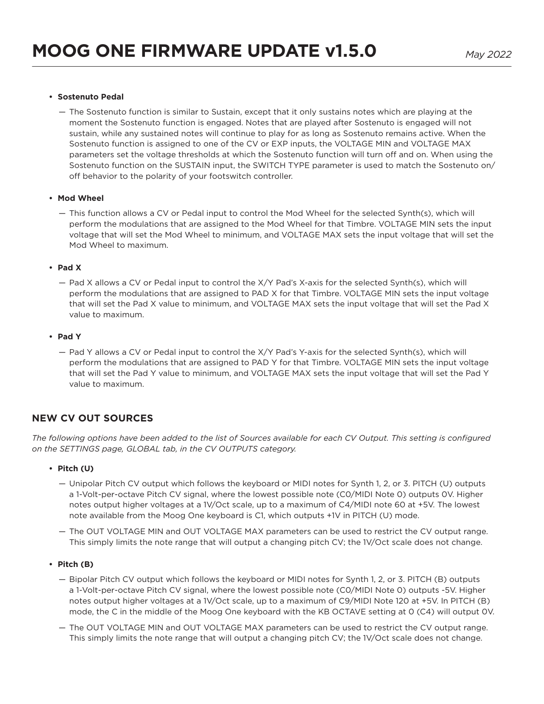#### **• Sostenuto Pedal**

— The Sostenuto function is similar to Sustain, except that it only sustains notes which are playing at the moment the Sostenuto function is engaged. Notes that are played after Sostenuto is engaged will not sustain, while any sustained notes will continue to play for as long as Sostenuto remains active. When the Sostenuto function is assigned to one of the CV or EXP inputs, the VOLTAGE MIN and VOLTAGE MAX parameters set the voltage thresholds at which the Sostenuto function will turn off and on. When using the Sostenuto function on the SUSTAIN input, the SWITCH TYPE parameter is used to match the Sostenuto on/ off behavior to the polarity of your footswitch controller.

#### **• Mod Wheel**

— This function allows a CV or Pedal input to control the Mod Wheel for the selected Synth(s), which will perform the modulations that are assigned to the Mod Wheel for that Timbre. VOLTAGE MIN sets the input voltage that will set the Mod Wheel to minimum, and VOLTAGE MAX sets the input voltage that will set the Mod Wheel to maximum.

#### **• Pad X**

— Pad X allows a CV or Pedal input to control the X/Y Pad's X-axis for the selected Synth(s), which will perform the modulations that are assigned to PAD X for that Timbre. VOLTAGE MIN sets the input voltage that will set the Pad X value to minimum, and VOLTAGE MAX sets the input voltage that will set the Pad X value to maximum.

#### **• Pad Y**

— Pad Y allows a CV or Pedal input to control the X/Y Pad's Y-axis for the selected Synth(s), which will perform the modulations that are assigned to PAD Y for that Timbre. VOLTAGE MIN sets the input voltage that will set the Pad Y value to minimum, and VOLTAGE MAX sets the input voltage that will set the Pad Y value to maximum.

### **NEW CV OUT SOURCES**

The following options have been added to the list of Sources available for each CV Output. This setting is configured *on the SETTINGS page, GLOBAL tab, in the CV OUTPUTS category.*

#### **• Pitch (U)**

- Unipolar Pitch CV output which follows the keyboard or MIDI notes for Synth 1, 2, or 3. PITCH (U) outputs a 1-Volt-per-octave Pitch CV signal, where the lowest possible note (C0/MIDI Note 0) outputs 0V. Higher notes output higher voltages at a 1V/Oct scale, up to a maximum of C4/MIDI note 60 at +5V. The lowest note available from the Moog One keyboard is C1, which outputs +1V in PITCH (U) mode.
- The OUT VOLTAGE MIN and OUT VOLTAGE MAX parameters can be used to restrict the CV output range. This simply limits the note range that will output a changing pitch CV; the 1V/Oct scale does not change.

#### **• Pitch (B)**

- Bipolar Pitch CV output which follows the keyboard or MIDI notes for Synth 1, 2, or 3. PITCH (B) outputs a 1-Volt-per-octave Pitch CV signal, where the lowest possible note (C0/MIDI Note 0) outputs -5V. Higher notes output higher voltages at a 1V/Oct scale, up to a maximum of C9/MIDI Note 120 at +5V. In PITCH (B) mode, the C in the middle of the Moog One keyboard with the KB OCTAVE setting at 0 (C4) will output 0V.
- The OUT VOLTAGE MIN and OUT VOLTAGE MAX parameters can be used to restrict the CV output range. This simply limits the note range that will output a changing pitch CV; the 1V/Oct scale does not change.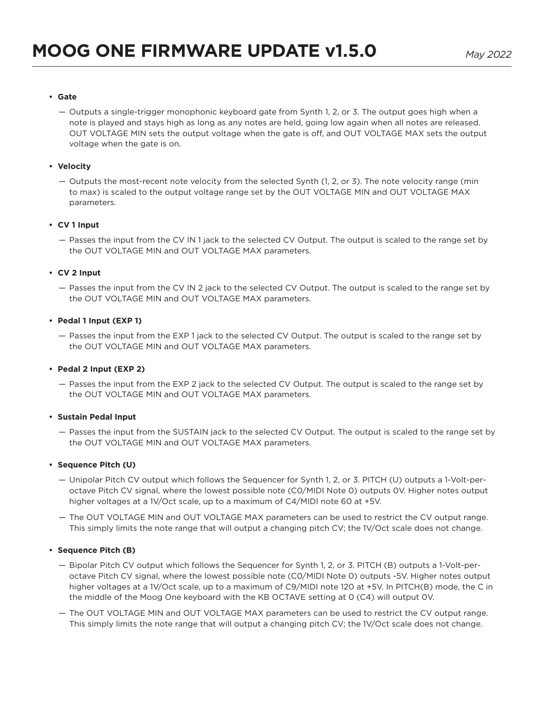#### **• Gate**

— Outputs a single-trigger monophonic keyboard gate from Synth 1, 2, or 3. The output goes high when a note is played and stays high as long as any notes are held, going low again when all notes are released. OUT VOLTAGE MIN sets the output voltage when the gate is off, and OUT VOLTAGE MAX sets the output voltage when the gate is on.

#### **• Velocity**

— Outputs the most-recent note velocity from the selected Synth (1, 2, or 3). The note velocity range (min to max) is scaled to the output voltage range set by the OUT VOLTAGE MIN and OUT VOLTAGE MAX parameters.

#### **• CV 1 Input**

— Passes the input from the CV IN 1 jack to the selected CV Output. The output is scaled to the range set by the OUT VOLTAGE MIN and OUT VOLTAGE MAX parameters.

#### **• CV 2 Input**

— Passes the input from the CV IN 2 jack to the selected CV Output. The output is scaled to the range set by the OUT VOLTAGE MIN and OUT VOLTAGE MAX parameters.

#### **• Pedal 1 Input (EXP 1)**

— Passes the input from the EXP 1 jack to the selected CV Output. The output is scaled to the range set by the OUT VOLTAGE MIN and OUT VOLTAGE MAX parameters.

#### **• Pedal 2 Input (EXP 2)**

— Passes the input from the EXP 2 jack to the selected CV Output. The output is scaled to the range set by the OUT VOLTAGE MIN and OUT VOLTAGE MAX parameters.

#### **• Sustain Pedal Input**

— Passes the input from the SUSTAIN jack to the selected CV Output. The output is scaled to the range set by the OUT VOLTAGE MIN and OUT VOLTAGE MAX parameters.

#### **• Sequence Pitch (U)**

- Unipolar Pitch CV output which follows the Sequencer for Synth 1, 2, or 3. PITCH (U) outputs a 1-Volt-peroctave Pitch CV signal, where the lowest possible note (C0/MIDI Note 0) outputs 0V. Higher notes output higher voltages at a 1V/Oct scale, up to a maximum of C4/MIDI note 60 at +5V.
- The OUT VOLTAGE MIN and OUT VOLTAGE MAX parameters can be used to restrict the CV output range. This simply limits the note range that will output a changing pitch CV; the 1V/Oct scale does not change.

#### **• Sequence Pitch (B)**

- Bipolar Pitch CV output which follows the Sequencer for Synth 1, 2, or 3. PITCH (B) outputs a 1-Volt-peroctave Pitch CV signal, where the lowest possible note (C0/MIDI Note 0) outputs -5V. Higher notes output higher voltages at a 1V/Oct scale, up to a maximum of C9/MIDI note 120 at +5V. In PITCH(B) mode, the C in the middle of the Moog One keyboard with the KB OCTAVE setting at 0 (C4) will output 0V.
- The OUT VOLTAGE MIN and OUT VOLTAGE MAX parameters can be used to restrict the CV output range. This simply limits the note range that will output a changing pitch CV; the 1V/Oct scale does not change.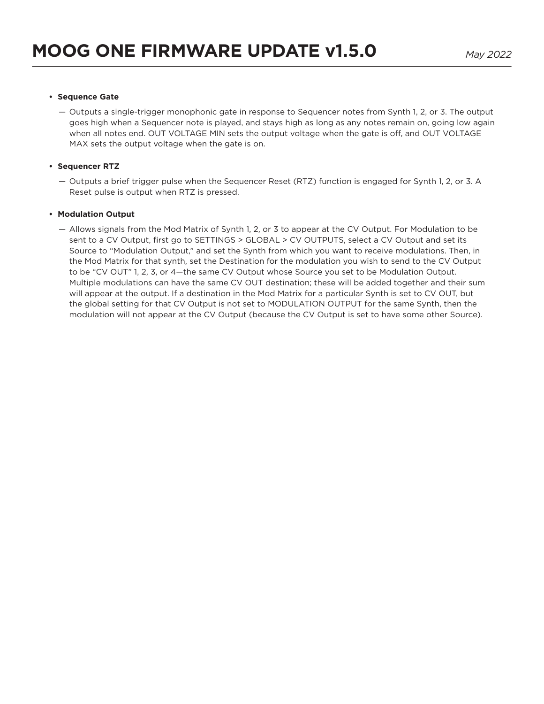#### **• Sequence Gate**

— Outputs a single-trigger monophonic gate in response to Sequencer notes from Synth 1, 2, or 3. The output goes high when a Sequencer note is played, and stays high as long as any notes remain on, going low again when all notes end. OUT VOLTAGE MIN sets the output voltage when the gate is off, and OUT VOLTAGE MAX sets the output voltage when the gate is on.

#### **• Sequencer RTZ**

— Outputs a brief trigger pulse when the Sequencer Reset (RTZ) function is engaged for Synth 1, 2, or 3. A Reset pulse is output when RTZ is pressed.

#### **• Modulation Output**

— Allows signals from the Mod Matrix of Synth 1, 2, or 3 to appear at the CV Output. For Modulation to be sent to a CV Output, first go to SETTINGS > GLOBAL > CV OUTPUTS, select a CV Output and set its Source to "Modulation Output," and set the Synth from which you want to receive modulations. Then, in the Mod Matrix for that synth, set the Destination for the modulation you wish to send to the CV Output to be "CV OUT" 1, 2, 3, or 4—the same CV Output whose Source you set to be Modulation Output. Multiple modulations can have the same CV OUT destination; these will be added together and their sum will appear at the output. If a destination in the Mod Matrix for a particular Synth is set to CV OUT, but the global setting for that CV Output is not set to MODULATION OUTPUT for the same Synth, then the modulation will not appear at the CV Output (because the CV Output is set to have some other Source).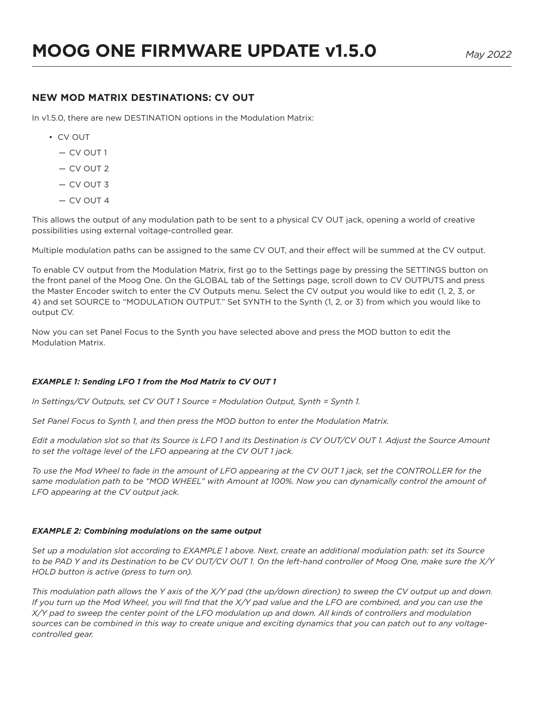### **NEW MOD MATRIX DESTINATIONS: CV OUT**

In v1.5.0, there are new DESTINATION options in the Modulation Matrix:

- CV OUT
	- CV OUT 1
	- CV OUT 2
	- CV OUT 3
	- CV OUT 4

This allows the output of any modulation path to be sent to a physical CV OUT jack, opening a world of creative possibilities using external voltage-controlled gear.

Multiple modulation paths can be assigned to the same CV OUT, and their effect will be summed at the CV output.

To enable CV output from the Modulation Matrix, first go to the Settings page by pressing the SETTINGS button on the front panel of the Moog One. On the GLOBAL tab of the Settings page, scroll down to CV OUTPUTS and press the Master Encoder switch to enter the CV Outputs menu. Select the CV output you would like to edit (1, 2, 3, or 4) and set SOURCE to "MODULATION OUTPUT." Set SYNTH to the Synth (1, 2, or 3) from which you would like to output CV.

Now you can set Panel Focus to the Synth you have selected above and press the MOD button to edit the Modulation Matrix.

#### *EXAMPLE 1: Sending LFO 1 from the Mod Matrix to CV OUT 1*

*In Settings/CV Outputs, set CV OUT 1 Source = Modulation Output, Synth = Synth 1.*

*Set Panel Focus to Synth 1, and then press the MOD button to enter the Modulation Matrix.*

*Edit a modulation slot so that its Source is LFO 1 and its Destination is CV OUT/CV OUT 1. Adjust the Source Amount to set the voltage level of the LFO appearing at the CV OUT 1 jack.*

*To use the Mod Wheel to fade in the amount of LFO appearing at the CV OUT 1 jack, set the CONTROLLER for the same modulation path to be "MOD WHEEL" with Amount at 100%. Now you can dynamically control the amount of LFO appearing at the CV output jack.*

#### *EXAMPLE 2: Combining modulations on the same output*

*Set up a modulation slot according to EXAMPLE 1 above. Next, create an additional modulation path: set its Source to be PAD Y and its Destination to be CV OUT/CV OUT 1. On the left-hand controller of Moog One, make sure the X/Y HOLD button is active (press to turn on).*

*This modulation path allows the Y axis of the X/Y pad (the up/down direction) to sweep the CV output up and down. If you turn up the Mod Wheel, you will find that the X/Y pad value and the LFO are combined, and you can use the X/Y pad to sweep the center point of the LFO modulation up and down. All kinds of controllers and modulation sources can be combined in this way to create unique and exciting dynamics that you can patch out to any voltagecontrolled gear.*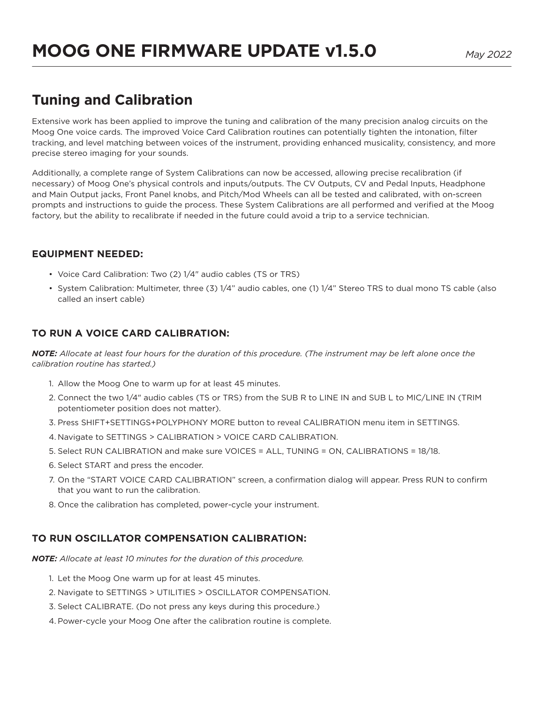# **Tuning and Calibration**

Extensive work has been applied to improve the tuning and calibration of the many precision analog circuits on the Moog One voice cards. The improved Voice Card Calibration routines can potentially tighten the intonation, filter tracking, and level matching between voices of the instrument, providing enhanced musicality, consistency, and more precise stereo imaging for your sounds.

Additionally, a complete range of System Calibrations can now be accessed, allowing precise recalibration (if necessary) of Moog One's physical controls and inputs/outputs. The CV Outputs, CV and Pedal Inputs, Headphone and Main Output jacks, Front Panel knobs, and Pitch/Mod Wheels can all be tested and calibrated, with on-screen prompts and instructions to guide the process. These System Calibrations are all performed and verified at the Moog factory, but the ability to recalibrate if needed in the future could avoid a trip to a service technician.

### **EQUIPMENT NEEDED:**

- Voice Card Calibration: Two (2) 1/4" audio cables (TS or TRS)
- System Calibration: Multimeter, three (3) 1/4" audio cables, one (1) 1/4" Stereo TRS to dual mono TS cable (also called an insert cable)

## **TO RUN A VOICE CARD CALIBRATION:**

*NOTE: Allocate at least four hours for the duration of this procedure. (The instrument may be left alone once the calibration routine has started.)*

- 1. Allow the Moog One to warm up for at least 45 minutes.
- 2. Connect the two 1/4" audio cables (TS or TRS) from the SUB R to LINE IN and SUB L to MIC/LINE IN (TRIM potentiometer position does not matter).
- 3. Press SHIFT+SETTINGS+POLYPHONY MORE button to reveal CALIBRATION menu item in SETTINGS.
- 4. Navigate to SETTINGS > CALIBRATION > VOICE CARD CALIBRATION.
- 5. Select RUN CALIBRATION and make sure VOICES = ALL, TUNING = ON, CALIBRATIONS = 18/18.
- 6. Select START and press the encoder.
- 7. On the "START VOICE CARD CALIBRATION" screen, a confirmation dialog will appear. Press RUN to confirm that you want to run the calibration.
- 8. Once the calibration has completed, power-cycle your instrument.

## **TO RUN OSCILLATOR COMPENSATION CALIBRATION:**

*NOTE: Allocate at least 10 minutes for the duration of this procedure.*

- 1. Let the Moog One warm up for at least 45 minutes.
- 2. Navigate to SETTINGS > UTILITIES > OSCILLATOR COMPENSATION.
- 3. Select CALIBRATE. (Do not press any keys during this procedure.)
- 4. Power-cycle your Moog One after the calibration routine is complete.